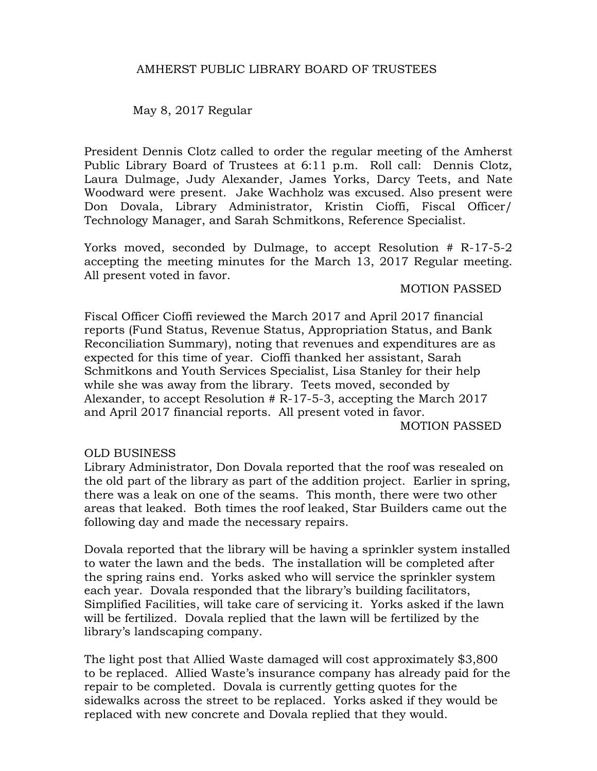## AMHERST PUBLIC LIBRARY BOARD OF TRUSTEES

May 8, 2017 Regular

President Dennis Clotz called to order the regular meeting of the Amherst Public Library Board of Trustees at 6:11 p.m. Roll call: Dennis Clotz, Laura Dulmage, Judy Alexander, James Yorks, Darcy Teets, and Nate Woodward were present. Jake Wachholz was excused. Also present were Don Dovala, Library Administrator, Kristin Cioffi, Fiscal Officer/ Technology Manager, and Sarah Schmitkons, Reference Specialist.

Yorks moved, seconded by Dulmage, to accept Resolution # R-17-5-2 accepting the meeting minutes for the March 13, 2017 Regular meeting. All present voted in favor.

### MOTION PASSED

Fiscal Officer Cioffi reviewed the March 2017 and April 2017 financial reports (Fund Status, Revenue Status, Appropriation Status, and Bank Reconciliation Summary), noting that revenues and expenditures are as expected for this time of year. Cioffi thanked her assistant, Sarah Schmitkons and Youth Services Specialist, Lisa Stanley for their help while she was away from the library. Teets moved, seconded by Alexander, to accept Resolution # R-17-5-3, accepting the March 2017 and April 2017 financial reports. All present voted in favor. MOTION PASSED

### OLD BUSINESS

Library Administrator, Don Dovala reported that the roof was resealed on the old part of the library as part of the addition project. Earlier in spring, there was a leak on one of the seams. This month, there were two other areas that leaked. Both times the roof leaked, Star Builders came out the following day and made the necessary repairs.

Dovala reported that the library will be having a sprinkler system installed to water the lawn and the beds. The installation will be completed after the spring rains end. Yorks asked who will service the sprinkler system each year. Dovala responded that the library's building facilitators, Simplified Facilities, will take care of servicing it. Yorks asked if the lawn will be fertilized. Dovala replied that the lawn will be fertilized by the library's landscaping company.

The light post that Allied Waste damaged will cost approximately \$3,800 to be replaced. Allied Waste's insurance company has already paid for the repair to be completed. Dovala is currently getting quotes for the sidewalks across the street to be replaced. Yorks asked if they would be replaced with new concrete and Dovala replied that they would.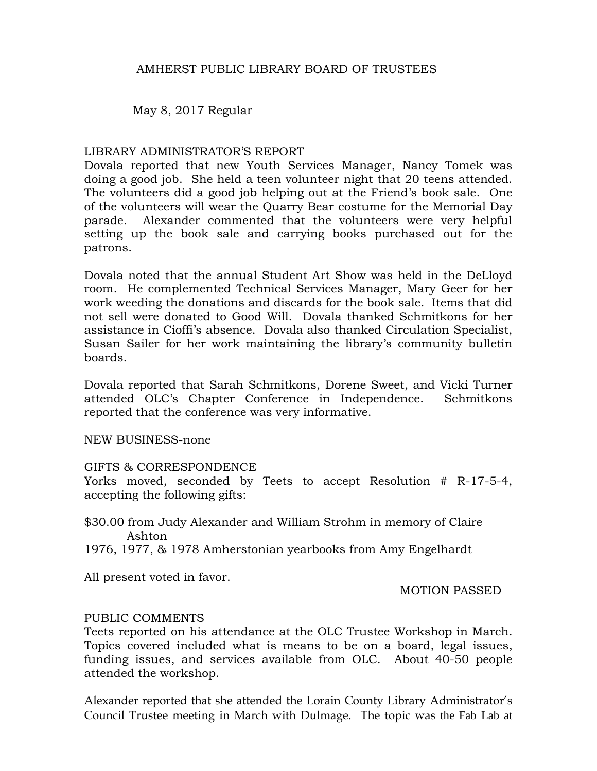May 8, 2017 Regular

## LIBRARY ADMINISTRATOR'S REPORT

Dovala reported that new Youth Services Manager, Nancy Tomek was doing a good job. She held a teen volunteer night that 20 teens attended. The volunteers did a good job helping out at the Friend's book sale. One of the volunteers will wear the Quarry Bear costume for the Memorial Day parade. Alexander commented that the volunteers were very helpful setting up the book sale and carrying books purchased out for the patrons.

Dovala noted that the annual Student Art Show was held in the DeLloyd room. He complemented Technical Services Manager, Mary Geer for her work weeding the donations and discards for the book sale. Items that did not sell were donated to Good Will. Dovala thanked Schmitkons for her assistance in Cioffi's absence. Dovala also thanked Circulation Specialist, Susan Sailer for her work maintaining the library's community bulletin boards.

Dovala reported that Sarah Schmitkons, Dorene Sweet, and Vicki Turner attended OLC's Chapter Conference in Independence. Schmitkons reported that the conference was very informative.

NEW BUSINESS-none

### GIFTS & CORRESPONDENCE

Yorks moved, seconded by Teets to accept Resolution # R-17-5-4, accepting the following gifts:

\$30.00 from Judy Alexander and William Strohm in memory of Claire Ashton

1976, 1977, & 1978 Amherstonian yearbooks from Amy Engelhardt

All present voted in favor.

MOTION PASSED

# PUBLIC COMMENTS

Teets reported on his attendance at the OLC Trustee Workshop in March. Topics covered included what is means to be on a board, legal issues, funding issues, and services available from OLC. About 40-50 people attended the workshop.

Alexander reported that she attended the Lorain County Library Administrator's Council Trustee meeting in March with Dulmage. The topic was the Fab Lab at